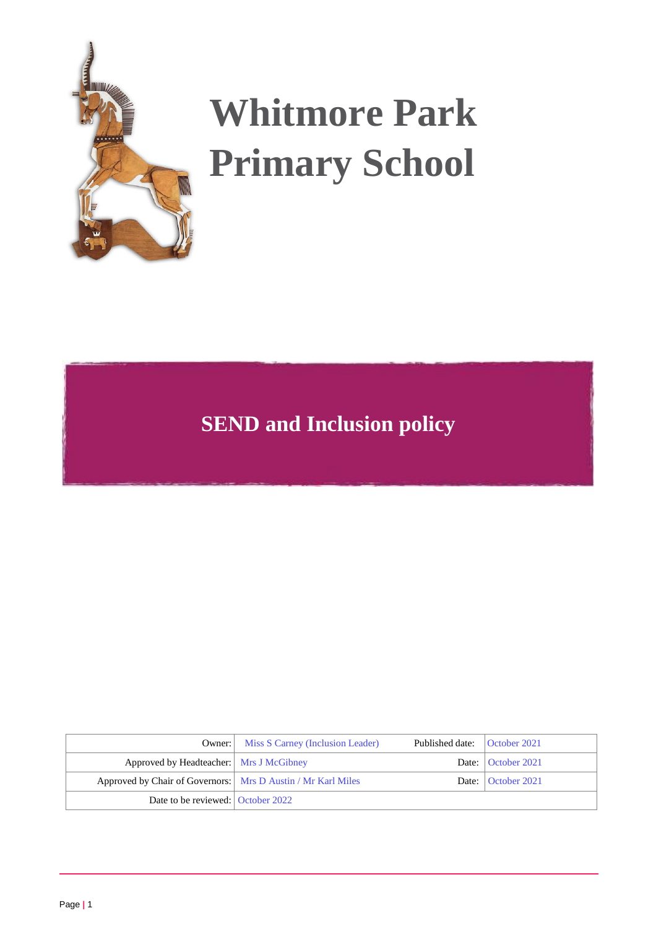

# **Whitmore Park Primary School**

## **SEND and Inclusion policy**

|                                                                | <b>Owner:</b> Miss S Carney (Inclusion Leader) | Published date:   October 2021 |                      |
|----------------------------------------------------------------|------------------------------------------------|--------------------------------|----------------------|
| Approved by Headteacher:   Mrs J McGibney                      |                                                |                                | Date:   October 2021 |
| Approved by Chair of Governors:   Mrs D Austin / Mr Karl Miles |                                                |                                | Date:   October 2021 |
| Date to be reviewed: October 2022                              |                                                |                                |                      |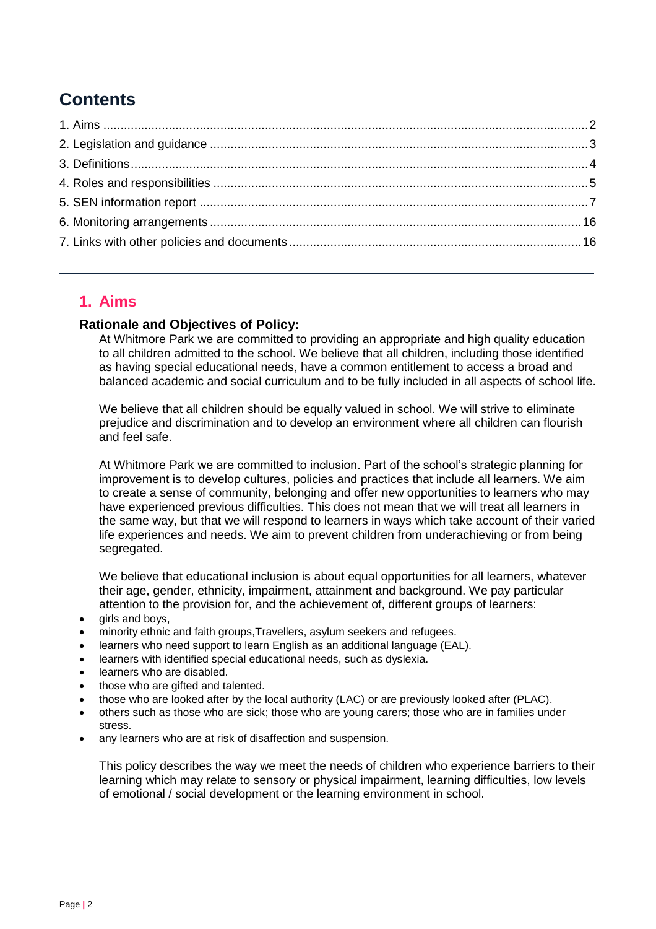## **Contents**

## <span id="page-1-0"></span>**1. Aims**

#### **Rationale and Objectives of Policy:**

At Whitmore Park we are committed to providing an appropriate and high quality education to all children admitted to the school. We believe that all children, including those identified as having special educational needs, have a common entitlement to access a broad and balanced academic and social curriculum and to be fully included in all aspects of school life.

We believe that all children should be equally valued in school. We will strive to eliminate prejudice and discrimination and to develop an environment where all children can flourish and feel safe.

At Whitmore Park we are committed to inclusion. Part of the school's strategic planning for improvement is to develop cultures, policies and practices that include all learners. We aim to create a sense of community, belonging and offer new opportunities to learners who may have experienced previous difficulties. This does not mean that we will treat all learners in the same way, but that we will respond to learners in ways which take account of their varied life experiences and needs. We aim to prevent children from underachieving or from being segregated.

We believe that educational inclusion is about equal opportunities for all learners, whatever their age, gender, ethnicity, impairment, attainment and background. We pay particular attention to the provision for, and the achievement of, different groups of learners:

- girls and boys,
- minority ethnic and faith groups,Travellers, asylum seekers and refugees.
- learners who need support to learn English as an additional language (EAL).
- learners with identified special educational needs, such as dyslexia.
- learners who are disabled.
- those who are gifted and talented.
- those who are looked after by the local authority (LAC) or are previously looked after (PLAC).
- others such as those who are sick; those who are young carers; those who are in families under stress.
- any learners who are at risk of disaffection and suspension.

This policy describes the way we meet the needs of children who experience barriers to their learning which may relate to sensory or physical impairment, learning difficulties, low levels of emotional / social development or the learning environment in school.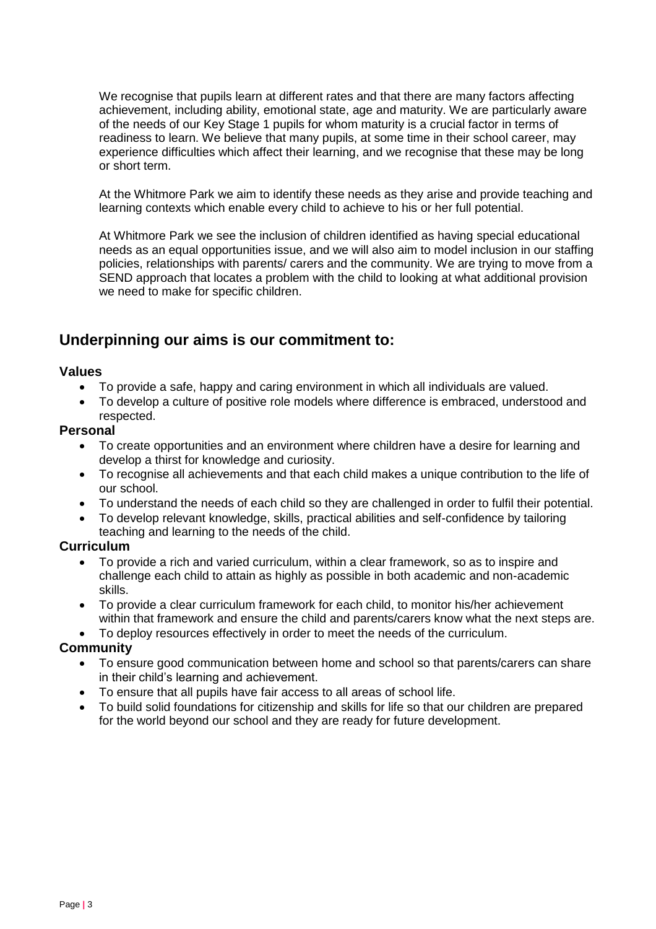We recognise that pupils learn at different rates and that there are many factors affecting achievement, including ability, emotional state, age and maturity. We are particularly aware of the needs of our Key Stage 1 pupils for whom maturity is a crucial factor in terms of readiness to learn. We believe that many pupils, at some time in their school career, may experience difficulties which affect their learning, and we recognise that these may be long or short term.

At the Whitmore Park we aim to identify these needs as they arise and provide teaching and learning contexts which enable every child to achieve to his or her full potential.

At Whitmore Park we see the inclusion of children identified as having special educational needs as an equal opportunities issue, and we will also aim to model inclusion in our staffing policies, relationships with parents/ carers and the community. We are trying to move from a SEND approach that locates a problem with the child to looking at what additional provision we need to make for specific children.

## <span id="page-2-0"></span>**Underpinning our aims is our commitment to:**

#### **Values**

- To provide a safe, happy and caring environment in which all individuals are valued.
- To develop a culture of positive role models where difference is embraced, understood and respected.

#### **Personal**

- To create opportunities and an environment where children have a desire for learning and develop a thirst for knowledge and curiosity.
- To recognise all achievements and that each child makes a unique contribution to the life of our school.
- To understand the needs of each child so they are challenged in order to fulfil their potential.
- To develop relevant knowledge, skills, practical abilities and self-confidence by tailoring teaching and learning to the needs of the child.

#### **Curriculum**

- To provide a rich and varied curriculum, within a clear framework, so as to inspire and challenge each child to attain as highly as possible in both academic and non-academic skills.
- To provide a clear curriculum framework for each child, to monitor his/her achievement within that framework and ensure the child and parents/carers know what the next steps are.
- To deploy resources effectively in order to meet the needs of the curriculum.

#### **Community**

- To ensure good communication between home and school so that parents/carers can share in their child's learning and achievement.
- To ensure that all pupils have fair access to all areas of school life.
- To build solid foundations for citizenship and skills for life so that our children are prepared for the world beyond our school and they are ready for future development.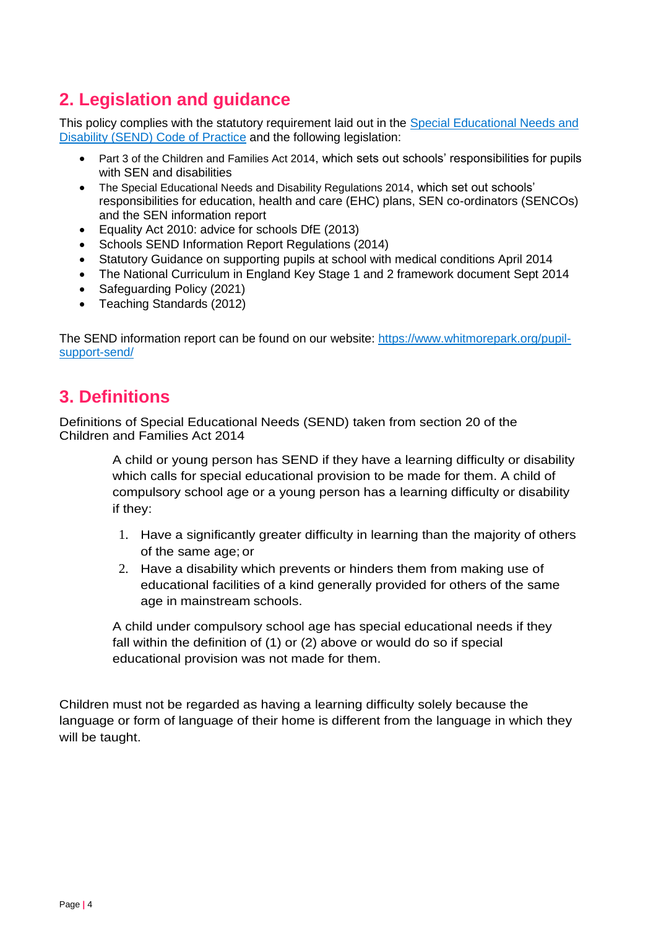## **2. Legislation and guidance**

This policy complies with the statutory requirement laid out in the [Special Educational Needs and](https://www.gov.uk/government/uploads/system/uploads/attachment_data/file/398815/SEND_Code_of_Practice_January_2015.pdf)  [Disability \(SEND\) Code of Practice](https://www.gov.uk/government/uploads/system/uploads/attachment_data/file/398815/SEND_Code_of_Practice_January_2015.pdf) and the following legislation:

- [Part 3 of the Children and Families Act 2014](http://www.legislation.gov.uk/ukpga/2014/6/part/3), which sets out schools' responsibilities for pupils with SEN and disabilities
- [The Special Educational Needs and Disability Regulations 2014](http://www.legislation.gov.uk/uksi/2014/1530/contents/made), which set out schools' responsibilities for education, health and care (EHC) plans, SEN co-ordinators (SENCOs) and the SEN information report
- Equality Act 2010: advice for schools DfE (2013)
- Schools SEND Information Report Regulations (2014)
- Statutory Guidance on supporting pupils at school with medical conditions April 2014
- The National Curriculum in England Key Stage 1 and 2 framework document Sept 2014
- Safeguarding Policy (2021)
- Teaching Standards (2012)

The SEND information report can be found on our website: [https://www.whitmorepark.org/pupil](https://www.whitmorepark.org/pupil-support-send/)[support-send/](https://www.whitmorepark.org/pupil-support-send/)

## <span id="page-3-0"></span>**3. Definitions**

Definitions of Special Educational Needs (SEND) taken from section 20 of the Children and Families Act 2014

> A child or young person has SEND if they have a learning difficulty or disability which calls for special educational provision to be made for them. A child of compulsory school age or a young person has a learning difficulty or disability if they:

- 1. Have a significantly greater difficulty in learning than the majority of others of the same age; or
- 2. Have a disability which prevents or hinders them from making use of educational facilities of a kind generally provided for others of the same age in mainstream schools.

A child under compulsory school age has special educational needs if they fall within the definition of (1) or (2) above or would do so if special educational provision was not made for them.

Children must not be regarded as having a learning difficulty solely because the language or form of language of their home is different from the language in which they will be taught.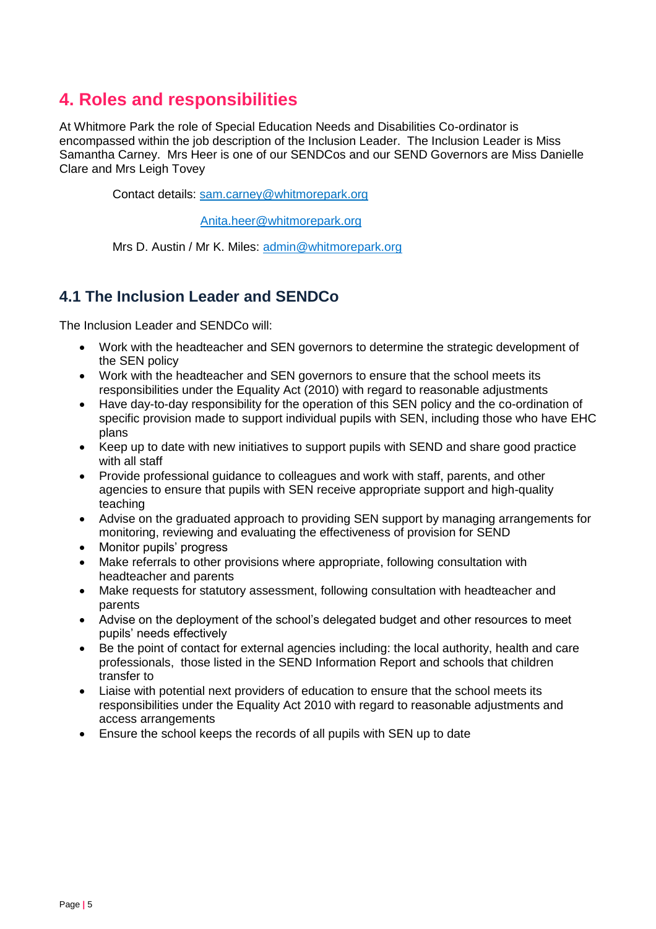## <span id="page-4-0"></span>**4. Roles and responsibilities**

At Whitmore Park the role of Special Education Needs and Disabilities Co-ordinator is encompassed within the job description of the Inclusion Leader. The Inclusion Leader is Miss Samantha Carney. Mrs Heer is one of our SENDCos and our SEND Governors are Miss Danielle Clare and Mrs Leigh Tovey

Contact details: [sam.carney@whitmorepark.org](mailto:sam.carney@whitmorepark.org)

[Anita.heer@whitmorepark.org](mailto:Anita.heer@whitmorepark.org)

Mrs D. Austin / Mr K. Miles: [admin@whitmorepark.org](mailto:admin@whitmorepark.org)

## **4.1 The Inclusion Leader and SENDCo**

The Inclusion Leader and SENDCo will:

- Work with the headteacher and SEN governors to determine the strategic development of the SEN policy
- Work with the headteacher and SEN governors to ensure that the school meets its responsibilities under the Equality Act (2010) with regard to reasonable adjustments
- Have day-to-day responsibility for the operation of this SEN policy and the co-ordination of specific provision made to support individual pupils with SEN, including those who have EHC plans
- Keep up to date with new initiatives to support pupils with SEND and share good practice with all staff
- Provide professional guidance to colleagues and work with staff, parents, and other agencies to ensure that pupils with SEN receive appropriate support and high-quality teaching
- Advise on the graduated approach to providing SEN support by managing arrangements for monitoring, reviewing and evaluating the effectiveness of provision for SEND
- Monitor pupils' progress
- Make referrals to other provisions where appropriate, following consultation with headteacher and parents
- Make requests for statutory assessment, following consultation with headteacher and parents
- Advise on the deployment of the school's delegated budget and other resources to meet pupils' needs effectively
- Be the point of contact for external agencies including: the local authority, health and care professionals, those listed in the SEND Information Report and schools that children transfer to
- Liaise with potential next providers of education to ensure that the school meets its responsibilities under the Equality Act 2010 with regard to reasonable adjustments and access arrangements
- Ensure the school keeps the records of all pupils with SEN up to date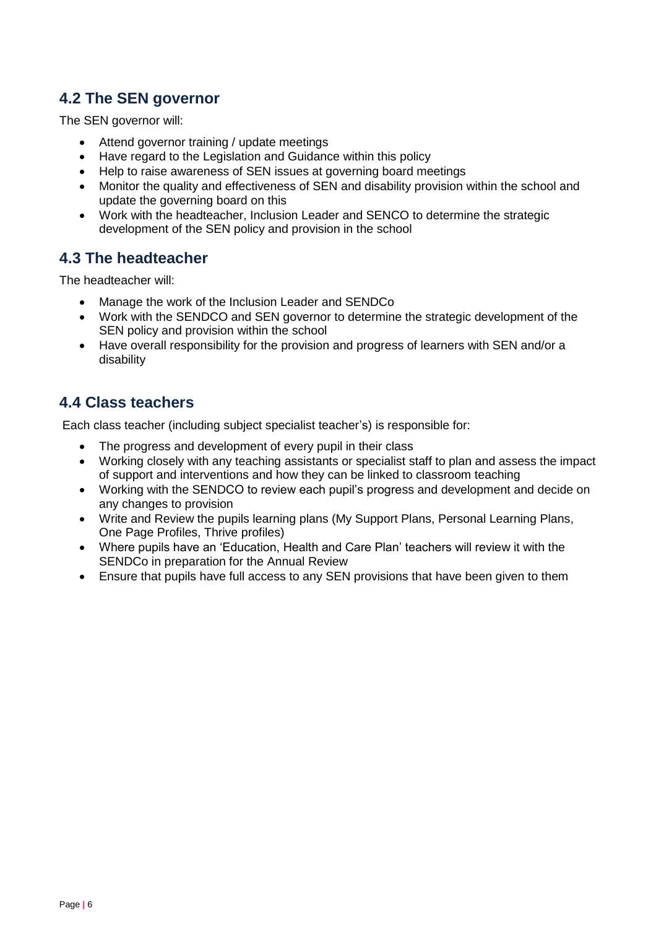## **4.2 The SEN governor**

The SEN governor will:

- Attend governor training / update meetings
- Have regard to the Legislation and Guidance within this policy
- Help to raise awareness of SEN issues at governing board meetings
- Monitor the quality and effectiveness of SEN and disability provision within the school and update the governing board on this
- Work with the headteacher, Inclusion Leader and SENCO to determine the strategic development of the SEN policy and provision in the school

## **4.3 The headteacher**

The headteacher will:

- Manage the work of the Inclusion Leader and SENDCo
- Work with the SENDCO and SEN governor to determine the strategic development of the SEN policy and provision within the school
- Have overall responsibility for the provision and progress of learners with SEN and/or a disability

## **4.4 Class teachers**

Each class teacher (including subject specialist teacher's) is responsible for:

- The progress and development of every pupil in their class
- Working closely with any teaching assistants or specialist staff to plan and assess the impact of support and interventions and how they can be linked to classroom teaching
- Working with the SENDCO to review each pupil's progress and development and decide on any changes to provision
- Write and Review the pupils learning plans (My Support Plans, Personal Learning Plans, One Page Profiles, Thrive profiles)
- Where pupils have an 'Education, Health and Care Plan' teachers will review it with the SENDCo in preparation for the Annual Review
- Ensure that pupils have full access to any SEN provisions that have been given to them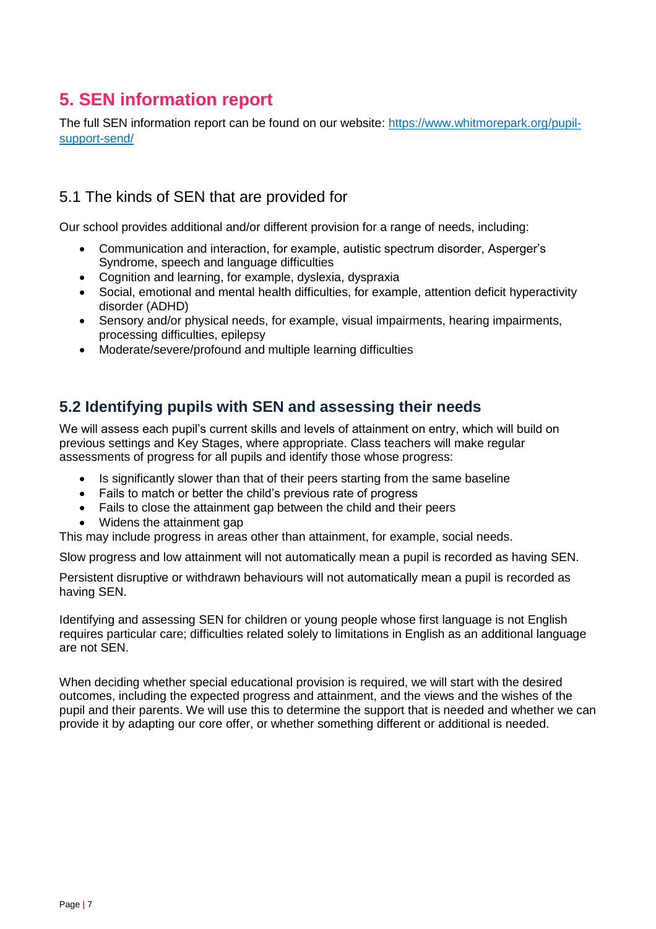## <span id="page-6-0"></span>**5. SEN information report**

The full SEN information report can be found on our website: [https://www.whitmorepark.org/pupil](https://www.whitmorepark.org/pupil-support-send/)[support-send/](https://www.whitmorepark.org/pupil-support-send/)

## 5.1 The kinds of SEN that are provided for

Our school provides additional and/or different provision for a range of needs, including:

- Communication and interaction, for example, autistic spectrum disorder, Asperger's Syndrome, speech and language difficulties
- Cognition and learning, for example, dyslexia, dyspraxia
- Social, emotional and mental health difficulties, for example, attention deficit hyperactivity disorder (ADHD)
- Sensory and/or physical needs, for example, visual impairments, hearing impairments, processing difficulties, epilepsy
- Moderate/severe/profound and multiple learning difficulties

## **5.2 Identifying pupils with SEN and assessing their needs**

We will assess each pupil's current skills and levels of attainment on entry, which will build on previous settings and Key Stages, where appropriate. Class teachers will make regular assessments of progress for all pupils and identify those whose progress:

- Is significantly slower than that of their peers starting from the same baseline
- Fails to match or better the child's previous rate of progress
- Fails to close the attainment gap between the child and their peers
- Widens the attainment gap

This may include progress in areas other than attainment, for example, social needs.

Slow progress and low attainment will not automatically mean a pupil is recorded as having SEN.

Persistent disruptive or withdrawn behaviours will not automatically mean a pupil is recorded as having SEN.

Identifying and assessing SEN for children or young people whose first language is not English requires particular care; difficulties related solely to limitations in English as an additional language are not SEN.

When deciding whether special educational provision is required, we will start with the desired outcomes, including the expected progress and attainment, and the views and the wishes of the pupil and their parents. We will use this to determine the support that is needed and whether we can provide it by adapting our core offer, or whether something different or additional is needed.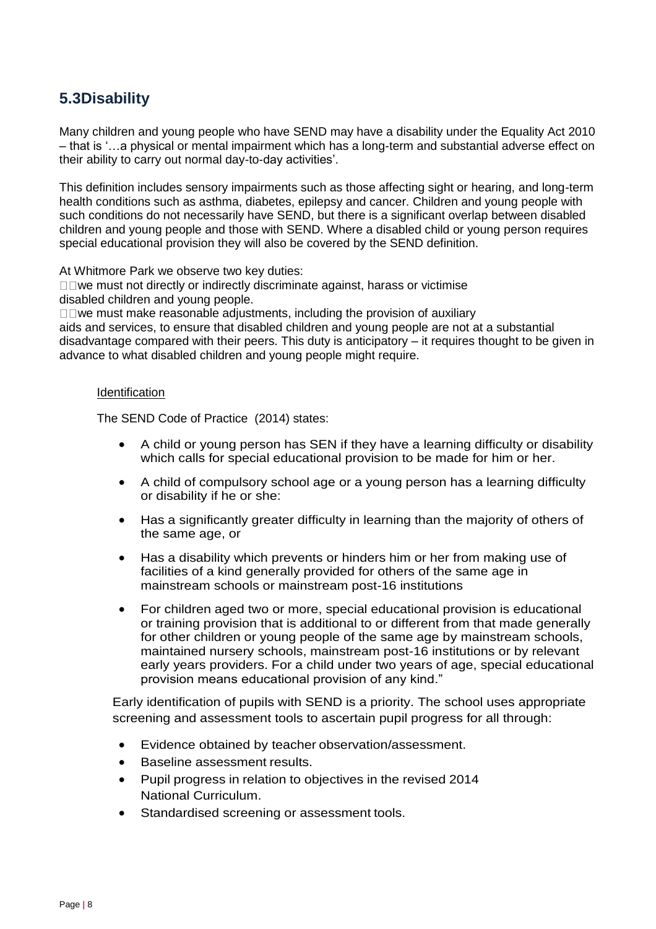## **5.3Disability**

Many children and young people who have SEND may have a disability under the Equality Act 2010 – that is '…a physical or mental impairment which has a long-term and substantial adverse effect on their ability to carry out normal day-to-day activities'.

This definition includes sensory impairments such as those affecting sight or hearing, and long-term health conditions such as asthma, diabetes, epilepsy and cancer. Children and young people with such conditions do not necessarily have SEND, but there is a significant overlap between disabled children and young people and those with SEND. Where a disabled child or young person requires special educational provision they will also be covered by the SEND definition.

At Whitmore Park we observe two key duties:

 $\square \square$  we must not directly or indirectly discriminate against, harass or victimise disabled children and young people.

 $\square \square$  we must make reasonable adjustments, including the provision of auxiliary aids and services, to ensure that disabled children and young people are not at a substantial disadvantage compared with their peers. This duty is anticipatory – it requires thought to be given in advance to what disabled children and young people might require.

#### **Identification**

The SEND Code of Practice (2014) states:

- A child or young person has SEN if they have a learning difficulty or disability which calls for special educational provision to be made for him or her.
- A child of compulsory school age or a young person has a learning difficulty or disability if he or she:
- Has a significantly greater difficulty in learning than the majority of others of the same age, or
- Has a disability which prevents or hinders him or her from making use of facilities of a kind generally provided for others of the same age in mainstream schools or mainstream post-16 institutions
- For children aged two or more, special educational provision is educational or training provision that is additional to or different from that made generally for other children or young people of the same age by mainstream schools, maintained nursery schools, mainstream post-16 institutions or by relevant early years providers. For a child under two years of age, special educational provision means educational provision of any kind."

Early identification of pupils with SEND is a priority. The school uses appropriate screening and assessment tools to ascertain pupil progress for all through:

- Evidence obtained by teacher observation/assessment.
- Baseline assessment results.
- Pupil progress in relation to objectives in the revised 2014 National Curriculum.
- Standardised screening or assessment tools.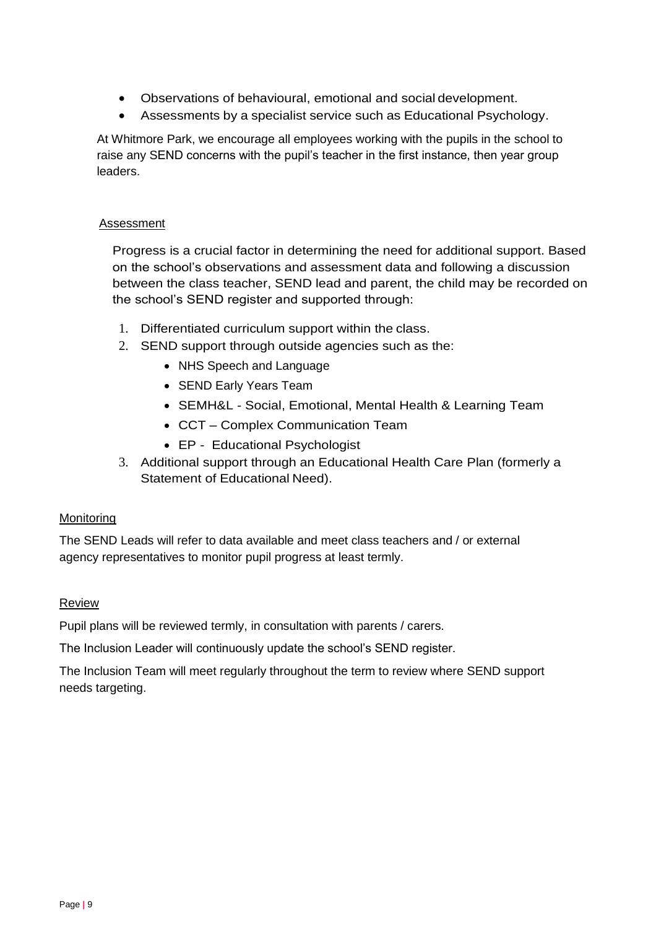- Observations of behavioural, emotional and social development.
- Assessments by a specialist service such as Educational Psychology.

At Whitmore Park, we encourage all employees working with the pupils in the school to raise any SEND concerns with the pupil's teacher in the first instance, then year group leaders.

#### Assessment

Progress is a crucial factor in determining the need for additional support. Based on the school's observations and assessment data and following a discussion between the class teacher, SEND lead and parent, the child may be recorded on the school's SEND register and supported through:

- 1. Differentiated curriculum support within the class.
- 2. SEND support through outside agencies such as the:
	- NHS Speech and Language
	- SEND Early Years Team
	- SEMH&L Social, Emotional, Mental Health & Learning Team
	- CCT Complex Communication Team
	- EP Educational Psychologist
- 3. Additional support through an Educational Health Care Plan (formerly a Statement of Educational Need).

#### Monitoring

The SEND Leads will refer to data available and meet class teachers and / or external agency representatives to monitor pupil progress at least termly.

#### Review

Pupil plans will be reviewed termly, in consultation with parents / carers.

The Inclusion Leader will continuously update the school's SEND register.

The Inclusion Team will meet regularly throughout the term to review where SEND support needs targeting.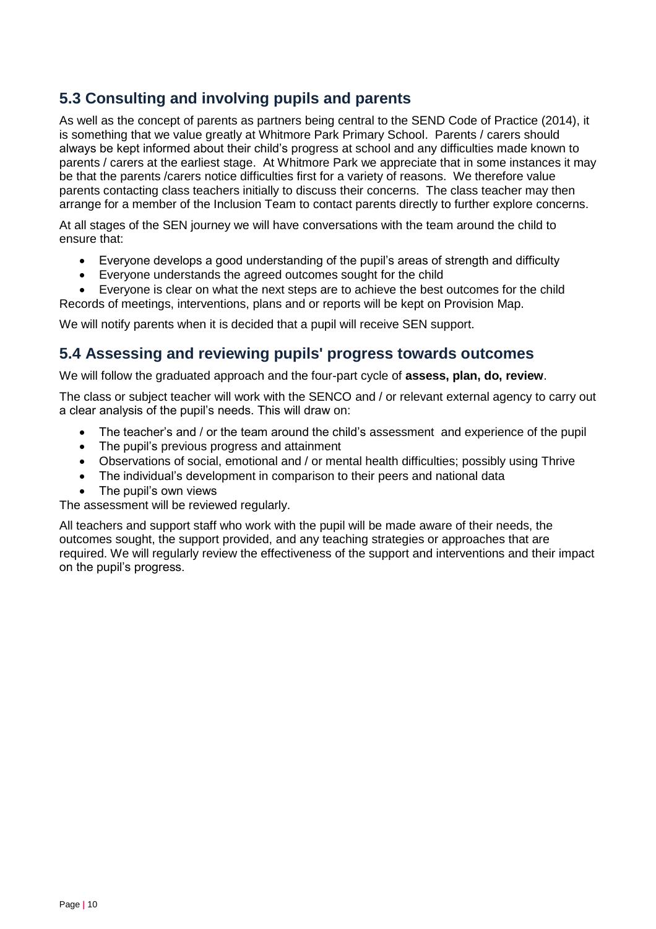## **5.3 Consulting and involving pupils and parents**

As well as the concept of parents as partners being central to the SEND Code of Practice (2014), it is something that we value greatly at Whitmore Park Primary School. Parents / carers should always be kept informed about their child's progress at school and any difficulties made known to parents / carers at the earliest stage. At Whitmore Park we appreciate that in some instances it may be that the parents /carers notice difficulties first for a variety of reasons. We therefore value parents contacting class teachers initially to discuss their concerns. The class teacher may then arrange for a member of the Inclusion Team to contact parents directly to further explore concerns.

At all stages of the SEN journey we will have conversations with the team around the child to ensure that:

- Everyone develops a good understanding of the pupil's areas of strength and difficulty
- Everyone understands the agreed outcomes sought for the child

 Everyone is clear on what the next steps are to achieve the best outcomes for the child Records of meetings, interventions, plans and or reports will be kept on Provision Map.

We will notify parents when it is decided that a pupil will receive SEN support.

## **5.4 Assessing and reviewing pupils' progress towards outcomes**

We will follow the graduated approach and the four-part cycle of **assess, plan, do, review**.

The class or subject teacher will work with the SENCO and / or relevant external agency to carry out a clear analysis of the pupil's needs. This will draw on:

- The teacher's and / or the team around the child's assessment and experience of the pupil
- The pupil's previous progress and attainment
- Observations of social, emotional and / or mental health difficulties; possibly using Thrive
- The individual's development in comparison to their peers and national data
- The pupil's own views

The assessment will be reviewed regularly.

All teachers and support staff who work with the pupil will be made aware of their needs, the outcomes sought, the support provided, and any teaching strategies or approaches that are required. We will regularly review the effectiveness of the support and interventions and their impact on the pupil's progress.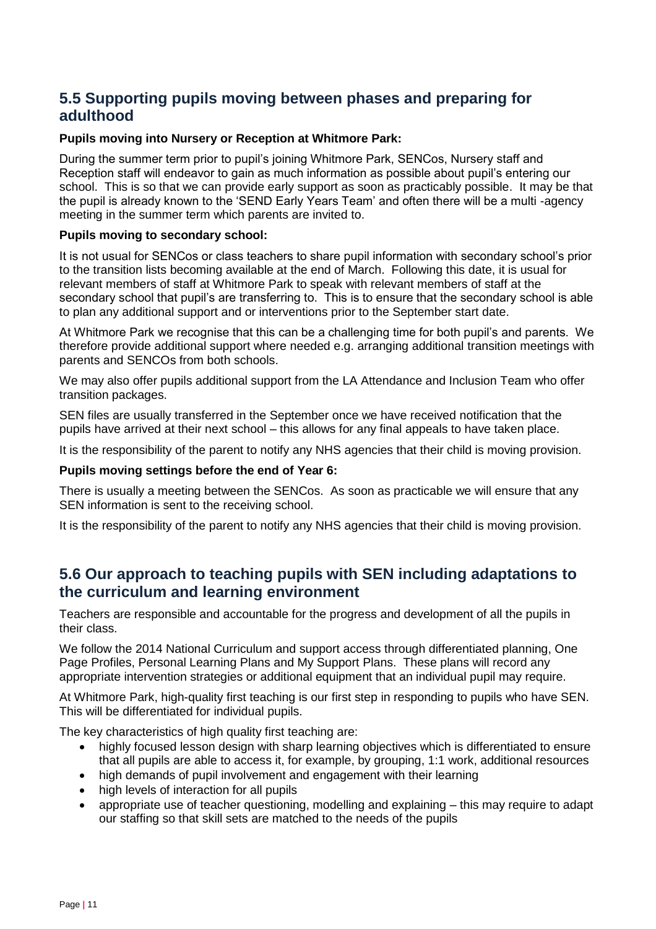## **5.5 Supporting pupils moving between phases and preparing for adulthood**

#### **Pupils moving into Nursery or Reception at Whitmore Park:**

During the summer term prior to pupil's joining Whitmore Park, SENCos, Nursery staff and Reception staff will endeavor to gain as much information as possible about pupil's entering our school. This is so that we can provide early support as soon as practicably possible. It may be that the pupil is already known to the 'SEND Early Years Team' and often there will be a multi -agency meeting in the summer term which parents are invited to.

#### **Pupils moving to secondary school:**

It is not usual for SENCos or class teachers to share pupil information with secondary school's prior to the transition lists becoming available at the end of March. Following this date, it is usual for relevant members of staff at Whitmore Park to speak with relevant members of staff at the secondary school that pupil's are transferring to. This is to ensure that the secondary school is able to plan any additional support and or interventions prior to the September start date.

At Whitmore Park we recognise that this can be a challenging time for both pupil's and parents. We therefore provide additional support where needed e.g. arranging additional transition meetings with parents and SENCOs from both schools.

We may also offer pupils additional support from the LA Attendance and Inclusion Team who offer transition packages.

SEN files are usually transferred in the September once we have received notification that the pupils have arrived at their next school – this allows for any final appeals to have taken place.

It is the responsibility of the parent to notify any NHS agencies that their child is moving provision.

#### **Pupils moving settings before the end of Year 6:**

There is usually a meeting between the SENCos. As soon as practicable we will ensure that any SEN information is sent to the receiving school.

It is the responsibility of the parent to notify any NHS agencies that their child is moving provision.

## **5.6 Our approach to teaching pupils with SEN including adaptations to the curriculum and learning environment**

Teachers are responsible and accountable for the progress and development of all the pupils in their class.

We follow the 2014 National Curriculum and support access through differentiated planning, One Page Profiles, Personal Learning Plans and My Support Plans. These plans will record any appropriate intervention strategies or additional equipment that an individual pupil may require.

At Whitmore Park, high-quality first teaching is our first step in responding to pupils who have SEN. This will be differentiated for individual pupils.

The key characteristics of high quality first teaching are:

- highly focused lesson design with sharp learning objectives which is differentiated to ensure that all pupils are able to access it, for example, by grouping, 1:1 work, additional resources
- high demands of pupil involvement and engagement with their learning
- high levels of interaction for all pupils
- appropriate use of teacher questioning, modelling and explaining this may require to adapt our staffing so that skill sets are matched to the needs of the pupils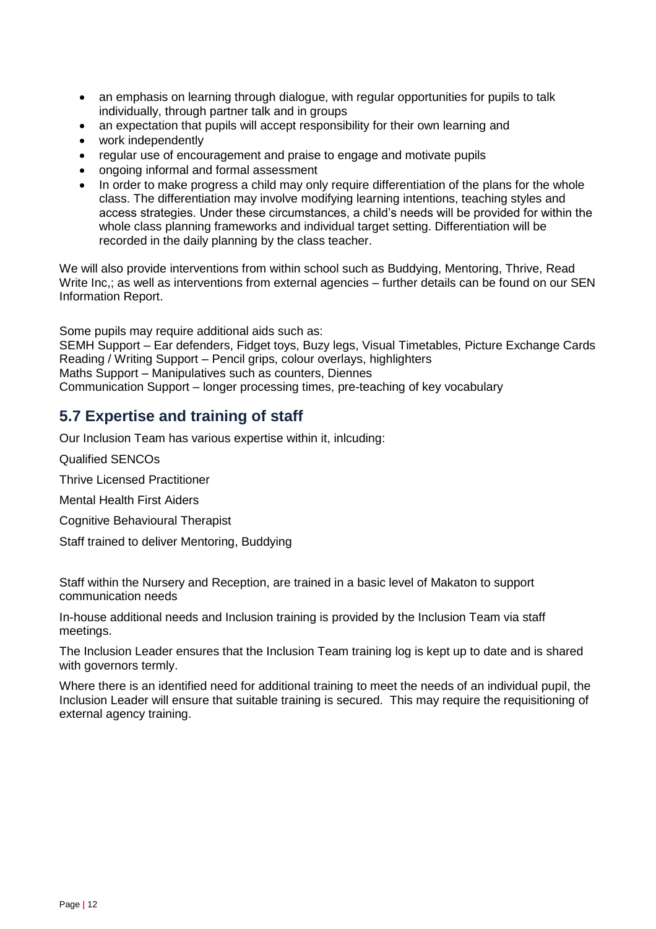- an emphasis on learning through dialogue, with regular opportunities for pupils to talk individually, through partner talk and in groups
- an expectation that pupils will accept responsibility for their own learning and
- work independently
- regular use of encouragement and praise to engage and motivate pupils
- ongoing informal and formal assessment
- In order to make progress a child may only require differentiation of the plans for the whole class. The differentiation may involve modifying learning intentions, teaching styles and access strategies. Under these circumstances, a child's needs will be provided for within the whole class planning frameworks and individual target setting. Differentiation will be recorded in the daily planning by the class teacher.

We will also provide interventions from within school such as Buddying, Mentoring, Thrive, Read Write Inc.; as well as interventions from external agencies – further details can be found on our SEN Information Report.

Some pupils may require additional aids such as:

SEMH Support – Ear defenders, Fidget toys, Buzy legs, Visual Timetables, Picture Exchange Cards Reading / Writing Support – Pencil grips, colour overlays, highlighters Maths Support – Manipulatives such as counters, Diennes Communication Support – longer processing times, pre-teaching of key vocabulary

## **5.7 Expertise and training of staff**

Our Inclusion Team has various expertise within it, inlcuding:

Qualified SENCOs

Thrive Licensed Practitioner

Mental Health First Aiders

Cognitive Behavioural Therapist

Staff trained to deliver Mentoring, Buddying

Staff within the Nursery and Reception, are trained in a basic level of Makaton to support communication needs

In-house additional needs and Inclusion training is provided by the Inclusion Team via staff meetings.

The Inclusion Leader ensures that the Inclusion Team training log is kept up to date and is shared with governors termly.

Where there is an identified need for additional training to meet the needs of an individual pupil, the Inclusion Leader will ensure that suitable training is secured. This may require the requisitioning of external agency training.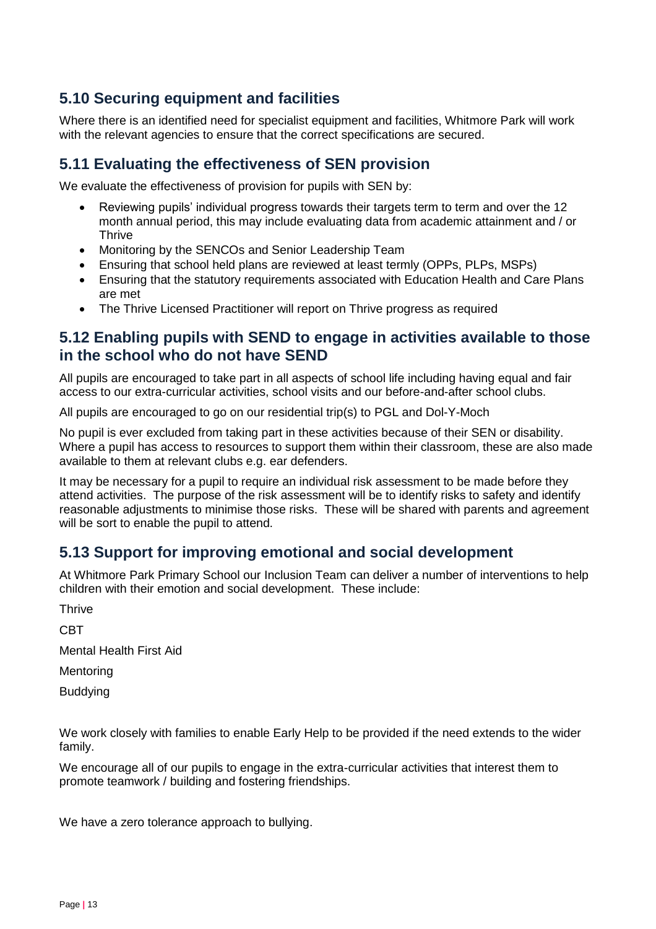## **5.10 Securing equipment and facilities**

Where there is an identified need for specialist equipment and facilities, Whitmore Park will work with the relevant agencies to ensure that the correct specifications are secured.

## **5.11 Evaluating the effectiveness of SEN provision**

We evaluate the effectiveness of provision for pupils with SEN by:

- Reviewing pupils' individual progress towards their targets term to term and over the 12 month annual period, this may include evaluating data from academic attainment and / or **Thrive**
- Monitoring by the SENCOs and Senior Leadership Team
- Ensuring that school held plans are reviewed at least termly (OPPs, PLPs, MSPs)
- Ensuring that the statutory requirements associated with Education Health and Care Plans are met
- The Thrive Licensed Practitioner will report on Thrive progress as required

#### **5.12 Enabling pupils with SEND to engage in activities available to those in the school who do not have SEND**

All pupils are encouraged to take part in all aspects of school life including having equal and fair access to our extra-curricular activities, school visits and our before-and-after school clubs.

All pupils are encouraged to go on our residential trip(s) to PGL and Dol-Y-Moch

No pupil is ever excluded from taking part in these activities because of their SEN or disability. Where a pupil has access to resources to support them within their classroom, these are also made available to them at relevant clubs e.g. ear defenders.

It may be necessary for a pupil to require an individual risk assessment to be made before they attend activities. The purpose of the risk assessment will be to identify risks to safety and identify reasonable adjustments to minimise those risks. These will be shared with parents and agreement will be sort to enable the pupil to attend.

## **5.13 Support for improving emotional and social development**

At Whitmore Park Primary School our Inclusion Team can deliver a number of interventions to help children with their emotion and social development. These include:

**Thrive** 

CBT

Mental Health First Aid

**Mentoring** 

Buddying

We work closely with families to enable Early Help to be provided if the need extends to the wider family.

We encourage all of our pupils to engage in the extra-curricular activities that interest them to promote teamwork / building and fostering friendships.

We have a zero tolerance approach to bullying.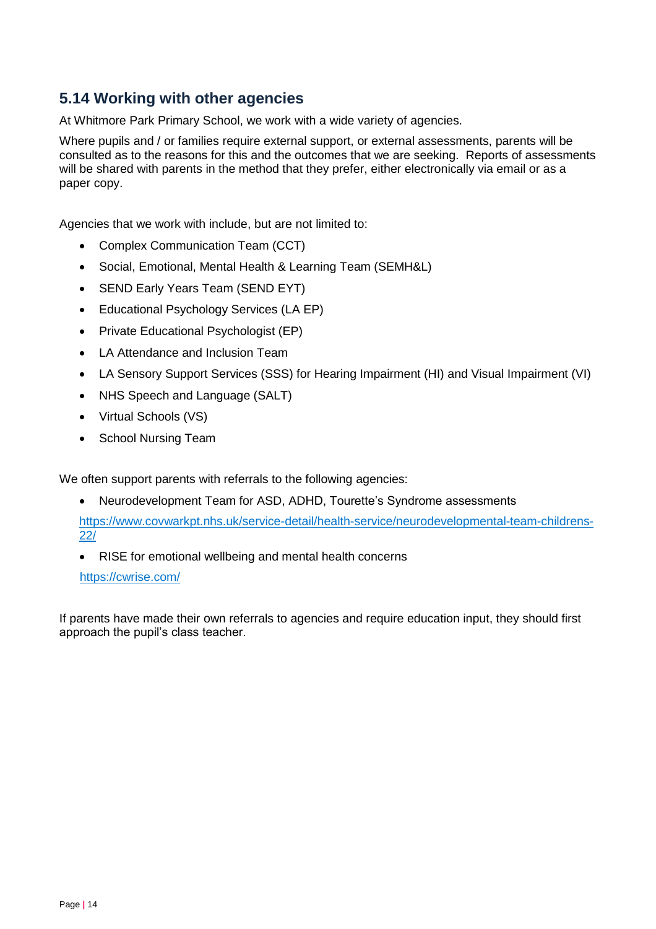## **5.14 Working with other agencies**

At Whitmore Park Primary School, we work with a wide variety of agencies.

Where pupils and / or families require external support, or external assessments, parents will be consulted as to the reasons for this and the outcomes that we are seeking. Reports of assessments will be shared with parents in the method that they prefer, either electronically via email or as a paper copy.

Agencies that we work with include, but are not limited to:

- Complex Communication Team (CCT)
- Social, Emotional, Mental Health & Learning Team (SEMH&L)
- SEND Early Years Team (SEND EYT)
- Educational Psychology Services (LA EP)
- Private Educational Psychologist (EP)
- LA Attendance and Inclusion Team
- LA Sensory Support Services (SSS) for Hearing Impairment (HI) and Visual Impairment (VI)
- NHS Speech and Language (SALT)
- Virtual Schools (VS)
- School Nursing Team

We often support parents with referrals to the following agencies:

Neurodevelopment Team for ASD, ADHD, Tourette's Syndrome assessments

[https://www.covwarkpt.nhs.uk/service-detail/health-service/neurodevelopmental-team-childrens-](https://www.covwarkpt.nhs.uk/service-detail/health-service/neurodevelopmental-team-childrens-22/)[22/](https://www.covwarkpt.nhs.uk/service-detail/health-service/neurodevelopmental-team-childrens-22/)

RISE for emotional wellbeing and mental health concerns

<https://cwrise.com/>

If parents have made their own referrals to agencies and require education input, they should first approach the pupil's class teacher.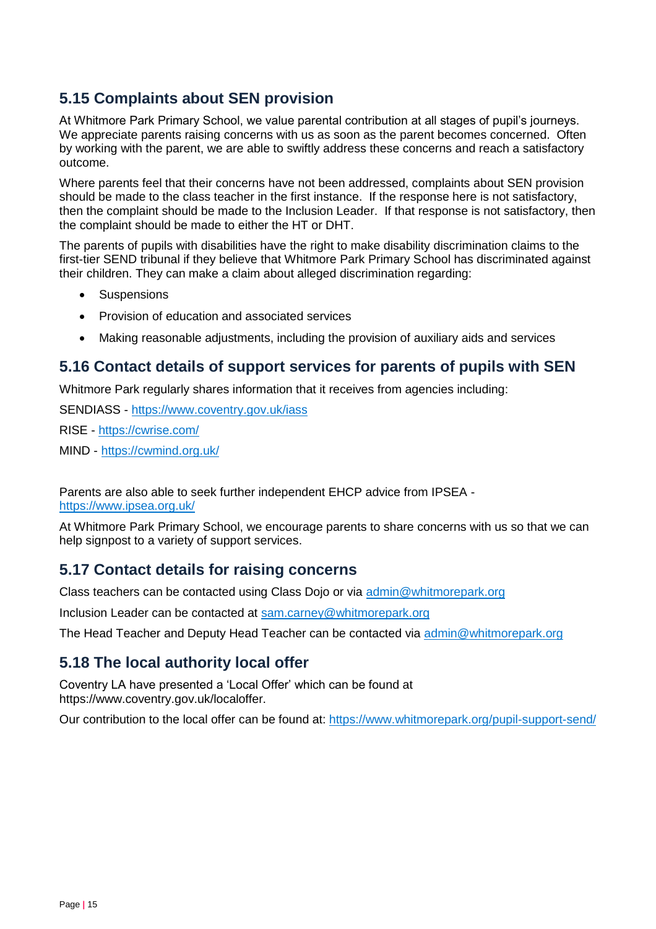## **5.15 Complaints about SEN provision**

At Whitmore Park Primary School, we value parental contribution at all stages of pupil's journeys. We appreciate parents raising concerns with us as soon as the parent becomes concerned. Often by working with the parent, we are able to swiftly address these concerns and reach a satisfactory outcome.

Where parents feel that their concerns have not been addressed, complaints about SEN provision should be made to the class teacher in the first instance. If the response here is not satisfactory, then the complaint should be made to the Inclusion Leader. If that response is not satisfactory, then the complaint should be made to either the HT or DHT.

The parents of pupils with disabilities have the right to make disability discrimination claims to the first-tier SEND tribunal if they believe that Whitmore Park Primary School has discriminated against their children. They can make a claim about alleged discrimination regarding:

- **Suspensions**
- Provision of education and associated services
- Making reasonable adjustments, including the provision of auxiliary aids and services

## **5.16 Contact details of support services for parents of pupils with SEN**

Whitmore Park regularly shares information that it receives from agencies including:

SENDIASS - <https://www.coventry.gov.uk/iass>

RISE - <https://cwrise.com/>

MIND - <https://cwmind.org.uk/>

Parents are also able to seek further independent EHCP advice from IPSEA <https://www.ipsea.org.uk/>

At Whitmore Park Primary School, we encourage parents to share concerns with us so that we can help signpost to a variety of support services.

## **5.17 Contact details for raising concerns**

Class teachers can be contacted using Class Dojo or via [admin@whitmorepark.org](mailto:admin@whitmorepark.org)

Inclusion Leader can be contacted at [sam.carney@whitmorepark.org](mailto:sam.carney@whitmorepark.org)

The Head Teacher and Deputy Head Teacher can be contacted via [admin@whitmorepark.org](mailto:admin@whitmorepark.org)

## **5.18 The local authority local offer**

Coventry LA have presented a 'Local Offer' which can be found at https://www.coventry.gov.uk/localoffer.

Our contribution to the local offer can be found at:<https://www.whitmorepark.org/pupil-support-send/>